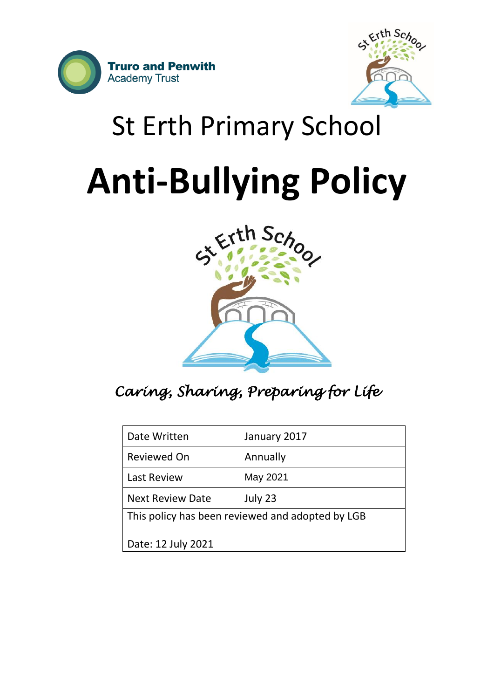



# St Erth Primary School

# **Anti-Bullying Policy**



# *Caring, Sharing, Preparing for Life*

| Date Written                                     | January 2017 |
|--------------------------------------------------|--------------|
| <b>Reviewed On</b>                               | Annually     |
| <b>Last Review</b>                               | May 2021     |
| <b>Next Review Date</b>                          | July 23      |
| This policy has been reviewed and adopted by LGB |              |
| Date: 12 July 2021                               |              |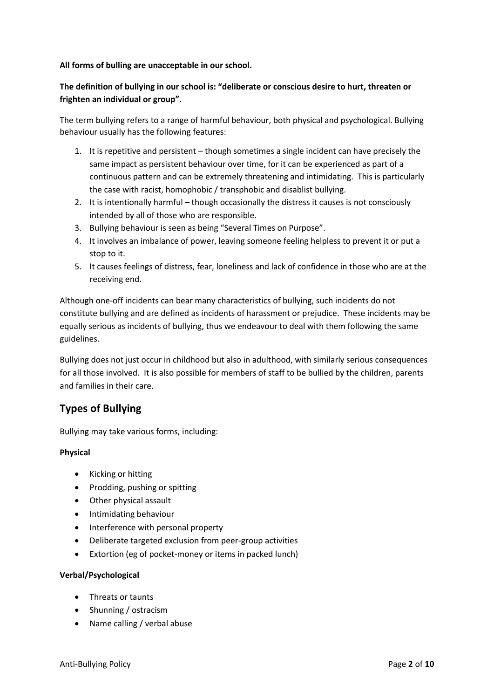#### **All forms of bulling are unacceptable in our school.**

#### **The definition of bullying in our school is: "deliberate or conscious desire to hurt, threaten or frighten an individual or group".**

The term bullying refers to a range of harmful behaviour, both physical and psychological. Bullying behaviour usually has the following features:

- 1. It is repetitive and persistent though sometimes a single incident can have precisely the same impact as persistent behaviour over time, for it can be experienced as part of a continuous pattern and can be extremely threatening and intimidating. This is particularly the case with racist, homophobic / transphobic and disablist bullying.
- 2. It is intentionally harmful though occasionally the distress it causes is not consciously intended by all of those who are responsible.
- 3. Bullying behaviour is seen as being "Several Times on Purpose".
- 4. It involves an imbalance of power, leaving someone feeling helpless to prevent it or put a stop to it.
- 5. It causes feelings of distress, fear, loneliness and lack of confidence in those who are at the receiving end.

Although one-off incidents can bear many characteristics of bullying, such incidents do not constitute bullying and are defined as incidents of harassment or prejudice. These incidents may be equally serious as incidents of bullying, thus we endeavour to deal with them following the same guidelines.

Bullying does not just occur in childhood but also in adulthood, with similarly serious consequences for all those involved. It is also possible for members of staff to be bullied by the children, parents and families in their care.

# **Types of Bullying**

Bullying may take various forms, including:

#### **Physical**

- Kicking or hitting
- Prodding, pushing or spitting
- Other physical assault
- Intimidating behaviour
- Interference with personal property
- Deliberate targeted exclusion from peer-group activities
- Extortion (eg of pocket-money or items in packed lunch)

#### **Verbal/Psychological**

- Threats or taunts
- Shunning / ostracism
- Name calling / verbal abuse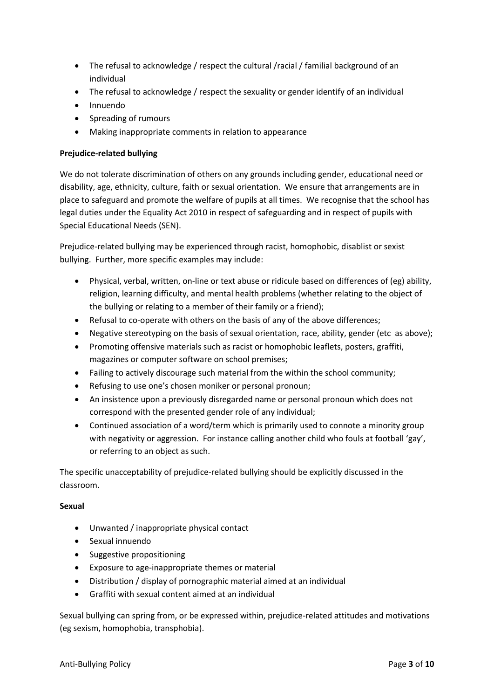- The refusal to acknowledge / respect the cultural /racial / familial background of an individual
- The refusal to acknowledge / respect the sexuality or gender identify of an individual
- Innuendo
- Spreading of rumours
- Making inappropriate comments in relation to appearance

#### **Prejudice-related bullying**

We do not tolerate discrimination of others on any grounds including gender, educational need or disability, age, ethnicity, culture, faith or sexual orientation. We ensure that arrangements are in place to safeguard and promote the welfare of pupils at all times. We recognise that the school has legal duties under the Equality Act 2010 in respect of safeguarding and in respect of pupils with Special Educational Needs (SEN).

Prejudice-related bullying may be experienced through racist, homophobic, disablist or sexist bullying. Further, more specific examples may include:

- Physical, verbal, written, on-line or text abuse or ridicule based on differences of (eg) ability, religion, learning difficulty, and mental health problems (whether relating to the object of the bullying or relating to a member of their family or a friend);
- Refusal to co-operate with others on the basis of any of the above differences;
- Negative stereotyping on the basis of sexual orientation, race, ability, gender (etc as above);
- Promoting offensive materials such as racist or homophobic leaflets, posters, graffiti, magazines or computer software on school premises;
- Failing to actively discourage such material from the within the school community;
- Refusing to use one's chosen moniker or personal pronoun;
- An insistence upon a previously disregarded name or personal pronoun which does not correspond with the presented gender role of any individual;
- Continued association of a word/term which is primarily used to connote a minority group with negativity or aggression. For instance calling another child who fouls at football 'gay', or referring to an object as such.

The specific unacceptability of prejudice-related bullying should be explicitly discussed in the classroom.

#### **Sexual**

- Unwanted / inappropriate physical contact
- Sexual innuendo
- Suggestive propositioning
- Exposure to age-inappropriate themes or material
- Distribution / display of pornographic material aimed at an individual
- Graffiti with sexual content aimed at an individual

Sexual bullying can spring from, or be expressed within, prejudice-related attitudes and motivations (eg sexism, homophobia, transphobia).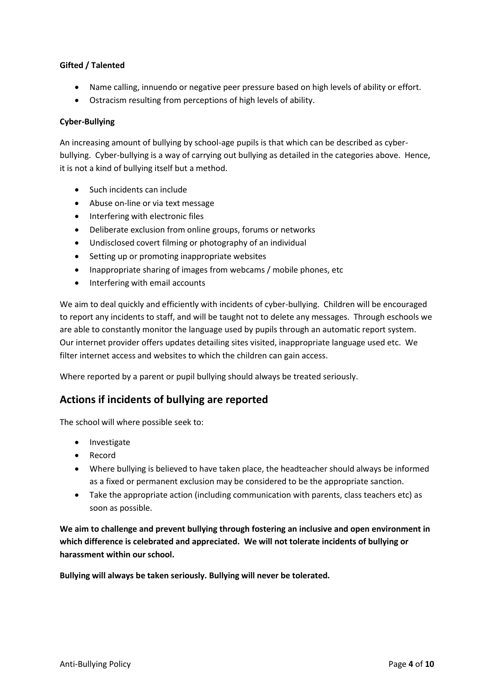#### **Gifted / Talented**

- Name calling, innuendo or negative peer pressure based on high levels of ability or effort.
- Ostracism resulting from perceptions of high levels of ability.

#### **Cyber-Bullying**

An increasing amount of bullying by school-age pupils is that which can be described as cyberbullying. Cyber-bullying is a way of carrying out bullying as detailed in the categories above. Hence, it is not a kind of bullying itself but a method.

- Such incidents can include
- Abuse on-line or via text message
- Interfering with electronic files
- Deliberate exclusion from online groups, forums or networks
- Undisclosed covert filming or photography of an individual
- Setting up or promoting inappropriate websites
- Inappropriate sharing of images from webcams / mobile phones, etc
- Interfering with email accounts

We aim to deal quickly and efficiently with incidents of cyber-bullying. Children will be encouraged to report any incidents to staff, and will be taught not to delete any messages. Through eschools we are able to constantly monitor the language used by pupils through an automatic report system. Our internet provider offers updates detailing sites visited, inappropriate language used etc. We filter internet access and websites to which the children can gain access.

Where reported by a parent or pupil bullying should always be treated seriously.

#### **Actions if incidents of bullying are reported**

The school will where possible seek to:

- Investigate
- Record
- Where bullying is believed to have taken place, the headteacher should always be informed as a fixed or permanent exclusion may be considered to be the appropriate sanction.
- Take the appropriate action (including communication with parents, class teachers etc) as soon as possible.

**We aim to challenge and prevent bullying through fostering an inclusive and open environment in which difference is celebrated and appreciated. We will not tolerate incidents of bullying or harassment within our school.**

**Bullying will always be taken seriously. Bullying will never be tolerated.**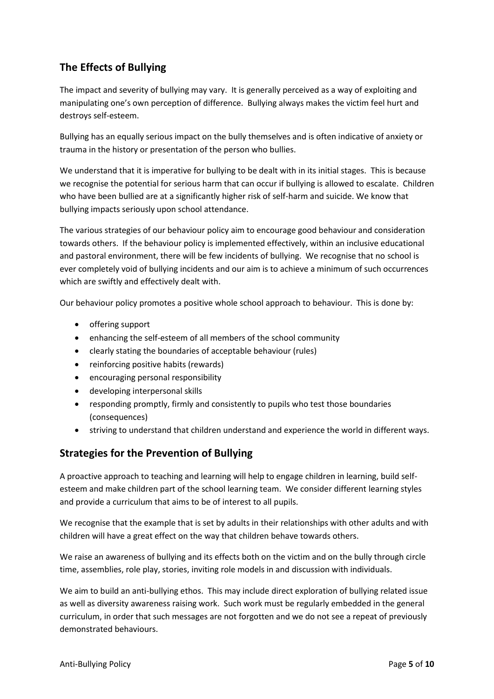# **The Effects of Bullying**

The impact and severity of bullying may vary. It is generally perceived as a way of exploiting and manipulating one's own perception of difference. Bullying always makes the victim feel hurt and destroys self-esteem.

Bullying has an equally serious impact on the bully themselves and is often indicative of anxiety or trauma in the history or presentation of the person who bullies.

We understand that it is imperative for bullying to be dealt with in its initial stages. This is because we recognise the potential for serious harm that can occur if bullying is allowed to escalate. Children who have been bullied are at a significantly higher risk of self-harm and suicide. We know that bullying impacts seriously upon school attendance.

The various strategies of our behaviour policy aim to encourage good behaviour and consideration towards others. If the behaviour policy is implemented effectively, within an inclusive educational and pastoral environment, there will be few incidents of bullying. We recognise that no school is ever completely void of bullying incidents and our aim is to achieve a minimum of such occurrences which are swiftly and effectively dealt with.

Our behaviour policy promotes a positive whole school approach to behaviour. This is done by:

- offering support
- enhancing the self-esteem of all members of the school community
- clearly stating the boundaries of acceptable behaviour (rules)
- reinforcing positive habits (rewards)
- encouraging personal responsibility
- developing interpersonal skills
- responding promptly, firmly and consistently to pupils who test those boundaries (consequences)
- striving to understand that children understand and experience the world in different ways.

## **Strategies for the Prevention of Bullying**

A proactive approach to teaching and learning will help to engage children in learning, build selfesteem and make children part of the school learning team. We consider different learning styles and provide a curriculum that aims to be of interest to all pupils.

We recognise that the example that is set by adults in their relationships with other adults and with children will have a great effect on the way that children behave towards others.

We raise an awareness of bullying and its effects both on the victim and on the bully through circle time, assemblies, role play, stories, inviting role models in and discussion with individuals.

We aim to build an anti-bullying ethos. This may include direct exploration of bullying related issue as well as diversity awareness raising work. Such work must be regularly embedded in the general curriculum, in order that such messages are not forgotten and we do not see a repeat of previously demonstrated behaviours.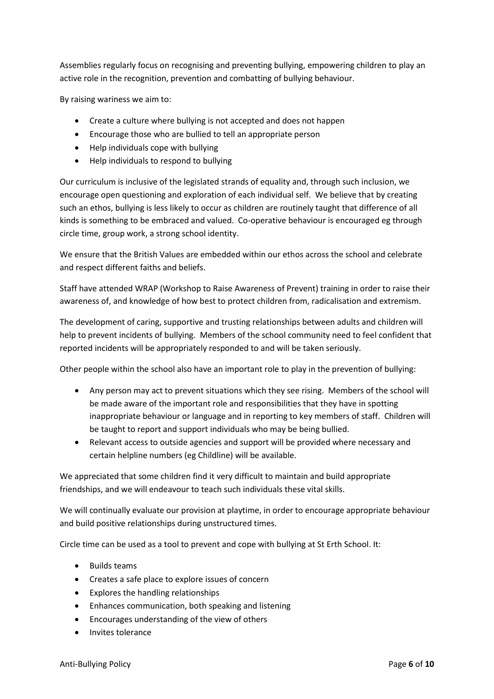Assemblies regularly focus on recognising and preventing bullying, empowering children to play an active role in the recognition, prevention and combatting of bullying behaviour.

By raising wariness we aim to:

- Create a culture where bullying is not accepted and does not happen
- Encourage those who are bullied to tell an appropriate person
- Help individuals cope with bullying
- Help individuals to respond to bullying

Our curriculum is inclusive of the legislated strands of equality and, through such inclusion, we encourage open questioning and exploration of each individual self. We believe that by creating such an ethos, bullying is less likely to occur as children are routinely taught that difference of all kinds is something to be embraced and valued. Co-operative behaviour is encouraged eg through circle time, group work, a strong school identity.

We ensure that the British Values are embedded within our ethos across the school and celebrate and respect different faiths and beliefs.

Staff have attended WRAP (Workshop to Raise Awareness of Prevent) training in order to raise their awareness of, and knowledge of how best to protect children from, radicalisation and extremism.

The development of caring, supportive and trusting relationships between adults and children will help to prevent incidents of bullying. Members of the school community need to feel confident that reported incidents will be appropriately responded to and will be taken seriously.

Other people within the school also have an important role to play in the prevention of bullying:

- Any person may act to prevent situations which they see rising. Members of the school will be made aware of the important role and responsibilities that they have in spotting inappropriate behaviour or language and in reporting to key members of staff. Children will be taught to report and support individuals who may be being bullied.
- Relevant access to outside agencies and support will be provided where necessary and certain helpline numbers (eg Childline) will be available.

We appreciated that some children find it very difficult to maintain and build appropriate friendships, and we will endeavour to teach such individuals these vital skills.

We will continually evaluate our provision at playtime, in order to encourage appropriate behaviour and build positive relationships during unstructured times.

Circle time can be used as a tool to prevent and cope with bullying at St Erth School. It:

- Builds teams
- Creates a safe place to explore issues of concern
- Explores the handling relationships
- Enhances communication, both speaking and listening
- Encourages understanding of the view of others
- Invites tolerance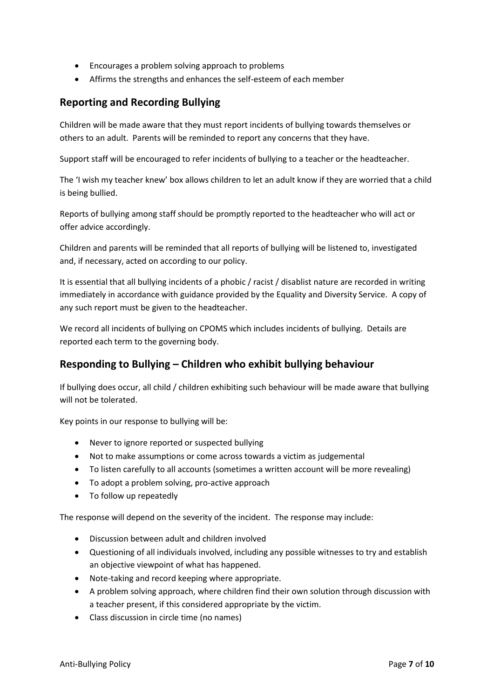- Encourages a problem solving approach to problems
- Affirms the strengths and enhances the self-esteem of each member

#### **Reporting and Recording Bullying**

Children will be made aware that they must report incidents of bullying towards themselves or others to an adult. Parents will be reminded to report any concerns that they have.

Support staff will be encouraged to refer incidents of bullying to a teacher or the headteacher.

The 'I wish my teacher knew' box allows children to let an adult know if they are worried that a child is being bullied.

Reports of bullying among staff should be promptly reported to the headteacher who will act or offer advice accordingly.

Children and parents will be reminded that all reports of bullying will be listened to, investigated and, if necessary, acted on according to our policy.

It is essential that all bullying incidents of a phobic / racist / disablist nature are recorded in writing immediately in accordance with guidance provided by the Equality and Diversity Service. A copy of any such report must be given to the headteacher.

We record all incidents of bullying on CPOMS which includes incidents of bullying. Details are reported each term to the governing body.

## **Responding to Bullying – Children who exhibit bullying behaviour**

If bullying does occur, all child / children exhibiting such behaviour will be made aware that bullying will not be tolerated.

Key points in our response to bullying will be:

- Never to ignore reported or suspected bullying
- Not to make assumptions or come across towards a victim as judgemental
- To listen carefully to all accounts (sometimes a written account will be more revealing)
- To adopt a problem solving, pro-active approach
- To follow up repeatedly

The response will depend on the severity of the incident. The response may include:

- Discussion between adult and children involved
- Questioning of all individuals involved, including any possible witnesses to try and establish an objective viewpoint of what has happened.
- Note-taking and record keeping where appropriate.
- A problem solving approach, where children find their own solution through discussion with a teacher present, if this considered appropriate by the victim.
- Class discussion in circle time (no names)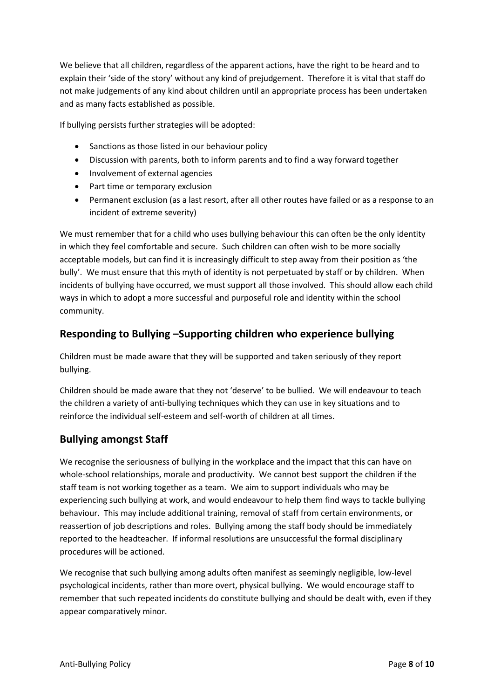We believe that all children, regardless of the apparent actions, have the right to be heard and to explain their 'side of the story' without any kind of prejudgement. Therefore it is vital that staff do not make judgements of any kind about children until an appropriate process has been undertaken and as many facts established as possible.

If bullying persists further strategies will be adopted:

- Sanctions as those listed in our behaviour policy
- Discussion with parents, both to inform parents and to find a way forward together
- Involvement of external agencies
- Part time or temporary exclusion
- Permanent exclusion (as a last resort, after all other routes have failed or as a response to an incident of extreme severity)

We must remember that for a child who uses bullying behaviour this can often be the only identity in which they feel comfortable and secure. Such children can often wish to be more socially acceptable models, but can find it is increasingly difficult to step away from their position as 'the bully'. We must ensure that this myth of identity is not perpetuated by staff or by children. When incidents of bullying have occurred, we must support all those involved. This should allow each child ways in which to adopt a more successful and purposeful role and identity within the school community.

# **Responding to Bullying –Supporting children who experience bullying**

Children must be made aware that they will be supported and taken seriously of they report bullying.

Children should be made aware that they not 'deserve' to be bullied. We will endeavour to teach the children a variety of anti-bullying techniques which they can use in key situations and to reinforce the individual self-esteem and self-worth of children at all times.

# **Bullying amongst Staff**

We recognise the seriousness of bullying in the workplace and the impact that this can have on whole-school relationships, morale and productivity. We cannot best support the children if the staff team is not working together as a team. We aim to support individuals who may be experiencing such bullying at work, and would endeavour to help them find ways to tackle bullying behaviour. This may include additional training, removal of staff from certain environments, or reassertion of job descriptions and roles. Bullying among the staff body should be immediately reported to the headteacher. If informal resolutions are unsuccessful the formal disciplinary procedures will be actioned.

We recognise that such bullying among adults often manifest as seemingly negligible, low-level psychological incidents, rather than more overt, physical bullying. We would encourage staff to remember that such repeated incidents do constitute bullying and should be dealt with, even if they appear comparatively minor.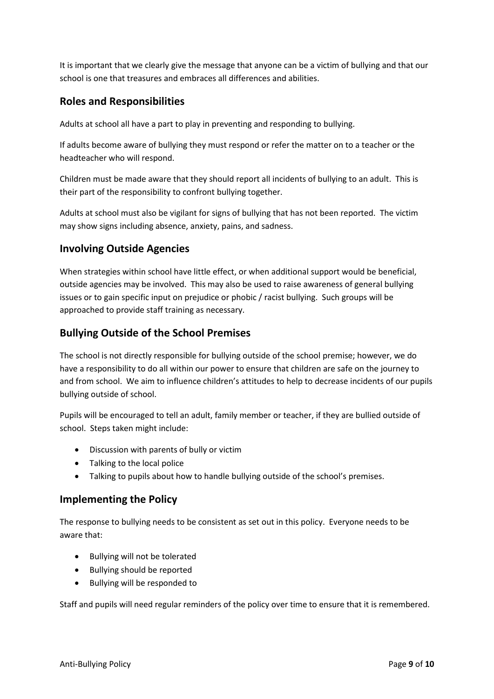It is important that we clearly give the message that anyone can be a victim of bullying and that our school is one that treasures and embraces all differences and abilities.

# **Roles and Responsibilities**

Adults at school all have a part to play in preventing and responding to bullying.

If adults become aware of bullying they must respond or refer the matter on to a teacher or the headteacher who will respond.

Children must be made aware that they should report all incidents of bullying to an adult. This is their part of the responsibility to confront bullying together.

Adults at school must also be vigilant for signs of bullying that has not been reported. The victim may show signs including absence, anxiety, pains, and sadness.

# **Involving Outside Agencies**

When strategies within school have little effect, or when additional support would be beneficial, outside agencies may be involved. This may also be used to raise awareness of general bullying issues or to gain specific input on prejudice or phobic / racist bullying. Such groups will be approached to provide staff training as necessary.

# **Bullying Outside of the School Premises**

The school is not directly responsible for bullying outside of the school premise; however, we do have a responsibility to do all within our power to ensure that children are safe on the journey to and from school. We aim to influence children's attitudes to help to decrease incidents of our pupils bullying outside of school.

Pupils will be encouraged to tell an adult, family member or teacher, if they are bullied outside of school. Steps taken might include:

- Discussion with parents of bully or victim
- Talking to the local police
- Talking to pupils about how to handle bullying outside of the school's premises.

## **Implementing the Policy**

The response to bullying needs to be consistent as set out in this policy. Everyone needs to be aware that:

- Bullying will not be tolerated
- Bullying should be reported
- Bullying will be responded to

Staff and pupils will need regular reminders of the policy over time to ensure that it is remembered.